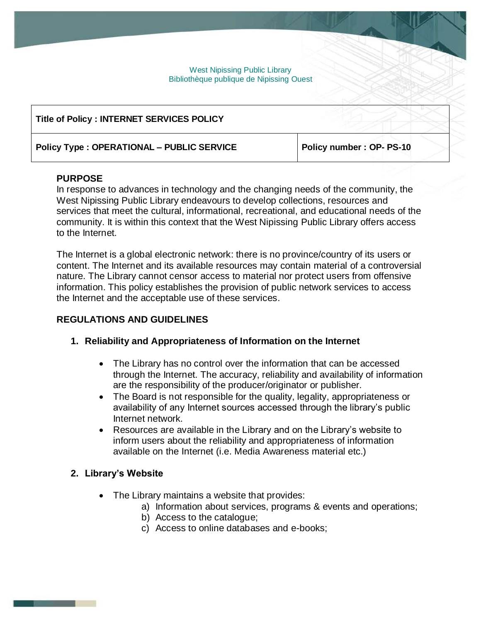West Nipissing Public Library Bibliothèque publique de Nipissing Ouest

| Title of Policy : INTERNET SERVICES POLICY       |                          |
|--------------------------------------------------|--------------------------|
| <b>Policy Type: OPERATIONAL - PUBLIC SERVICE</b> | Policy number: OP- PS-10 |

#### **PURPOSE**

In response to advances in technology and the changing needs of the community, the West Nipissing Public Library endeavours to develop collections, resources and services that meet the cultural, informational, recreational, and educational needs of the community. It is within this context that the West Nipissing Public Library offers access to the Internet.

The Internet is a global electronic network: there is no province/country of its users or content. The Internet and its available resources may contain material of a controversial nature. The Library cannot censor access to material nor protect users from offensive information. This policy establishes the provision of public network services to access the Internet and the acceptable use of these services.

#### **REGULATIONS AND GUIDELINES**

- **1. Reliability and Appropriateness of Information on the Internet**
	- The Library has no control over the information that can be accessed through the Internet. The accuracy, reliability and availability of information are the responsibility of the producer/originator or publisher.
	- The Board is not responsible for the quality, legality, appropriateness or availability of any Internet sources accessed through the library's public Internet network.
	- Resources are available in the Library and on the Library's website to inform users about the reliability and appropriateness of information available on the Internet (i.e. Media Awareness material etc.)

#### **2. Library's Website**

- The Library maintains a website that provides:
	- a) Information about services, programs & events and operations;
	- b) Access to the catalogue;
	- c) Access to online databases and e-books;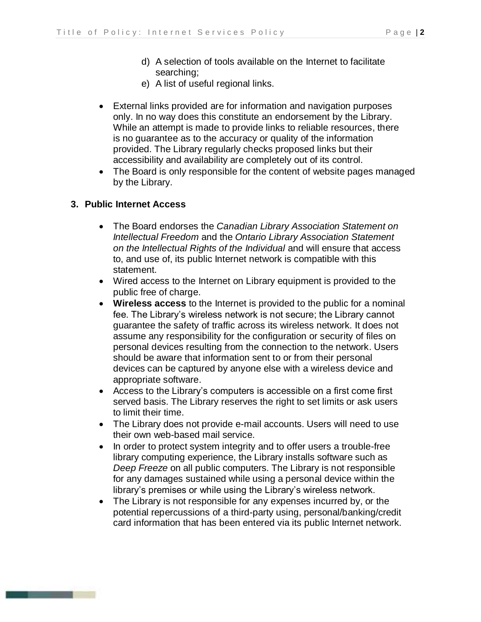- d) A selection of tools available on the Internet to facilitate searching;
- e) A list of useful regional links.
- External links provided are for information and navigation purposes only. In no way does this constitute an endorsement by the Library. While an attempt is made to provide links to reliable resources, there is no guarantee as to the accuracy or quality of the information provided. The Library regularly checks proposed links but their accessibility and availability are completely out of its control.
- The Board is only responsible for the content of website pages managed by the Library.

### **3. Public Internet Access**

- The Board endorses the *Canadian Library Association Statement on Intellectual Freedom* and the *Ontario Library Association Statement on the Intellectual Rights of the Individual* and will ensure that access to, and use of, its public Internet network is compatible with this statement.
- Wired access to the Internet on Library equipment is provided to the public free of charge.
- **Wireless access** to the Internet is provided to the public for a nominal fee. The Library's wireless network is not secure; the Library cannot guarantee the safety of traffic across its wireless network. It does not assume any responsibility for the configuration or security of files on personal devices resulting from the connection to the network. Users should be aware that information sent to or from their personal devices can be captured by anyone else with a wireless device and appropriate software.
- Access to the Library's computers is accessible on a first come first served basis. The Library reserves the right to set limits or ask users to limit their time.
- The Library does not provide e-mail accounts. Users will need to use their own web-based mail service.
- In order to protect system integrity and to offer users a trouble-free library computing experience, the Library installs software such as *Deep Freeze* on all public computers. The Library is not responsible for any damages sustained while using a personal device within the library's premises or while using the Library's wireless network.
- The Library is not responsible for any expenses incurred by, or the potential repercussions of a third-party using, personal/banking/credit card information that has been entered via its public Internet network.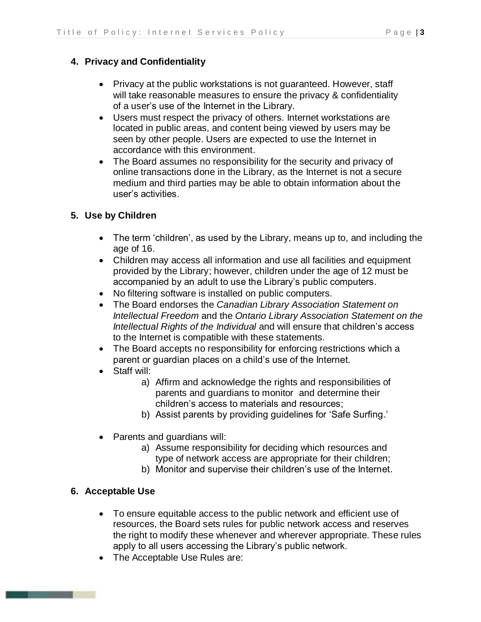# **4. Privacy and Confidentiality**

- Privacy at the public workstations is not guaranteed. However, staff will take reasonable measures to ensure the privacy & confidentiality of a user's use of the Internet in the Library.
- Users must respect the privacy of others. Internet workstations are located in public areas, and content being viewed by users may be seen by other people. Users are expected to use the Internet in accordance with this environment.
- The Board assumes no responsibility for the security and privacy of online transactions done in the Library, as the Internet is not a secure medium and third parties may be able to obtain information about the user's activities.

# **5. Use by Children**

- The term 'children', as used by the Library, means up to, and including the age of 16.
- Children may access all information and use all facilities and equipment provided by the Library; however, children under the age of 12 must be accompanied by an adult to use the Library's public computers.
- No filtering software is installed on public computers.
- The Board endorses the *Canadian Library Association Statement on Intellectual Freedom* and the *Ontario Library Association Statement on the Intellectual Rights of the Individual* and will ensure that children's access to the Internet is compatible with these statements.
- The Board accepts no responsibility for enforcing restrictions which a parent or guardian places on a child's use of the Internet.
- Staff will:
	- a) Affirm and acknowledge the rights and responsibilities of parents and guardians to monitor and determine their children's access to materials and resources;
	- b) Assist parents by providing guidelines for 'Safe Surfing.'
- Parents and guardians will:
	- a) Assume responsibility for deciding which resources and type of network access are appropriate for their children;
	- b) Monitor and supervise their children's use of the Internet.

# **6. Acceptable Use**

- To ensure equitable access to the public network and efficient use of resources, the Board sets rules for public network access and reserves the right to modify these whenever and wherever appropriate. These rules apply to all users accessing the Library's public network.
- The Acceptable Use Rules are: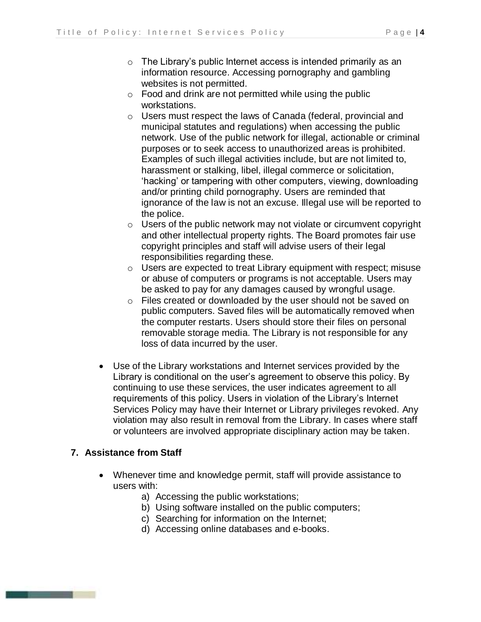- o The Library's public Internet access is intended primarily as an information resource. Accessing pornography and gambling websites is not permitted.
- $\circ$  Food and drink are not permitted while using the public workstations.
- o Users must respect the laws of Canada (federal, provincial and municipal statutes and regulations) when accessing the public network. Use of the public network for illegal, actionable or criminal purposes or to seek access to unauthorized areas is prohibited. Examples of such illegal activities include, but are not limited to, harassment or stalking, libel, illegal commerce or solicitation, 'hacking' or tampering with other computers, viewing, downloading and/or printing child pornography. Users are reminded that ignorance of the law is not an excuse. Illegal use will be reported to the police.
- o Users of the public network may not violate or circumvent copyright and other intellectual property rights. The Board promotes fair use copyright principles and staff will advise users of their legal responsibilities regarding these.
- o Users are expected to treat Library equipment with respect; misuse or abuse of computers or programs is not acceptable. Users may be asked to pay for any damages caused by wrongful usage.
- o Files created or downloaded by the user should not be saved on public computers. Saved files will be automatically removed when the computer restarts. Users should store their files on personal removable storage media. The Library is not responsible for any loss of data incurred by the user.
- Use of the Library workstations and Internet services provided by the Library is conditional on the user's agreement to observe this policy. By continuing to use these services, the user indicates agreement to all requirements of this policy. Users in violation of the Library's Internet Services Policy may have their Internet or Library privileges revoked. Any violation may also result in removal from the Library. In cases where staff or volunteers are involved appropriate disciplinary action may be taken.

# **7. Assistance from Staff**

- Whenever time and knowledge permit, staff will provide assistance to users with:
	- a) Accessing the public workstations;
	- b) Using software installed on the public computers;
	- c) Searching for information on the Internet;
	- d) Accessing online databases and e-books.